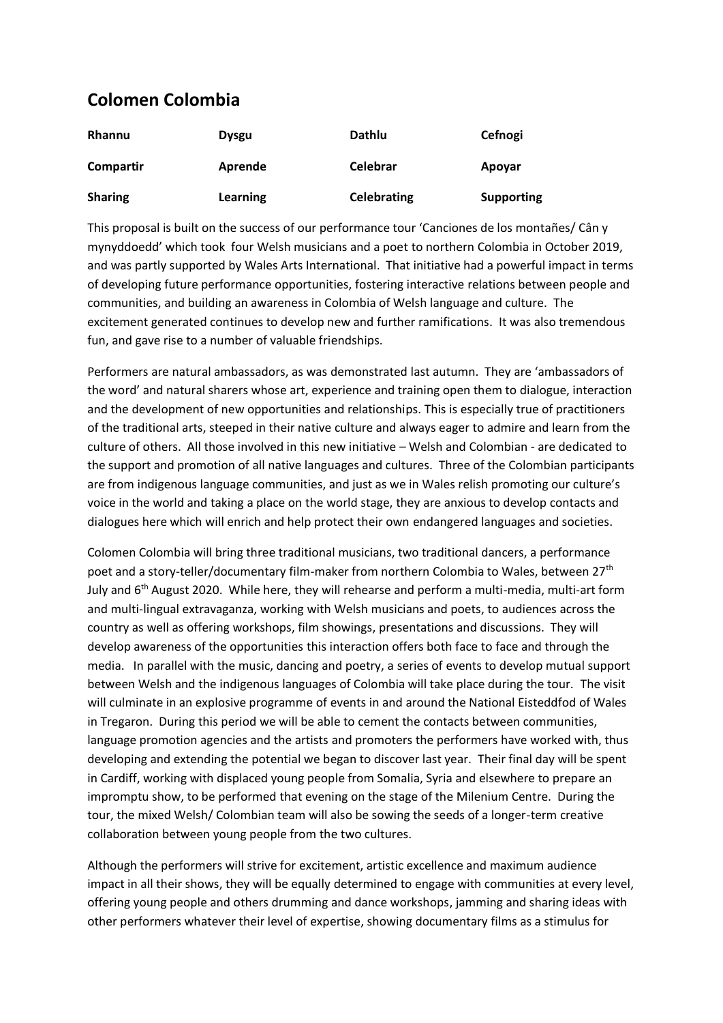## **Colomen Colombia**

| <b>Rhannu</b>  | <b>Dysgu</b> | Dathlu             | Cefnogi           |
|----------------|--------------|--------------------|-------------------|
| Compartir      | Aprende      | <b>Celebrar</b>    | Apoyar            |
| <b>Sharing</b> | Learning     | <b>Celebrating</b> | <b>Supporting</b> |

This proposal is built on the success of our performance tour 'Canciones de los montañes/ Cân y mynyddoedd' which took four Welsh musicians and a poet to northern Colombia in October 2019, and was partly supported by Wales Arts International. That initiative had a powerful impact in terms of developing future performance opportunities, fostering interactive relations between people and communities, and building an awareness in Colombia of Welsh language and culture. The excitement generated continues to develop new and further ramifications. It was also tremendous fun, and gave rise to a number of valuable friendships.

Performers are natural ambassadors, as was demonstrated last autumn. They are 'ambassadors of the word' and natural sharers whose art, experience and training open them to dialogue, interaction and the development of new opportunities and relationships. This is especially true of practitioners of the traditional arts, steeped in their native culture and always eager to admire and learn from the culture of others. All those involved in this new initiative – Welsh and Colombian - are dedicated to the support and promotion of all native languages and cultures. Three of the Colombian participants are from indigenous language communities, and just as we in Wales relish promoting our culture's voice in the world and taking a place on the world stage, they are anxious to develop contacts and dialogues here which will enrich and help protect their own endangered languages and societies.

Colomen Colombia will bring three traditional musicians, two traditional dancers, a performance poet and a story-teller/documentary film-maker from northern Colombia to Wales, between 27th July and 6<sup>th</sup> August 2020. While here, they will rehearse and perform a multi-media, multi-art form and multi-lingual extravaganza, working with Welsh musicians and poets, to audiences across the country as well as offering workshops, film showings, presentations and discussions. They will develop awareness of the opportunities this interaction offers both face to face and through the media. In parallel with the music, dancing and poetry, a series of events to develop mutual support between Welsh and the indigenous languages of Colombia will take place during the tour. The visit will culminate in an explosive programme of events in and around the National Eisteddfod of Wales in Tregaron. During this period we will be able to cement the contacts between communities, language promotion agencies and the artists and promoters the performers have worked with, thus developing and extending the potential we began to discover last year. Their final day will be spent in Cardiff, working with displaced young people from Somalia, Syria and elsewhere to prepare an impromptu show, to be performed that evening on the stage of the Milenium Centre. During the tour, the mixed Welsh/ Colombian team will also be sowing the seeds of a longer-term creative collaboration between young people from the two cultures.

Although the performers will strive for excitement, artistic excellence and maximum audience impact in all their shows, they will be equally determined to engage with communities at every level, offering young people and others drumming and dance workshops, jamming and sharing ideas with other performers whatever their level of expertise, showing documentary films as a stimulus for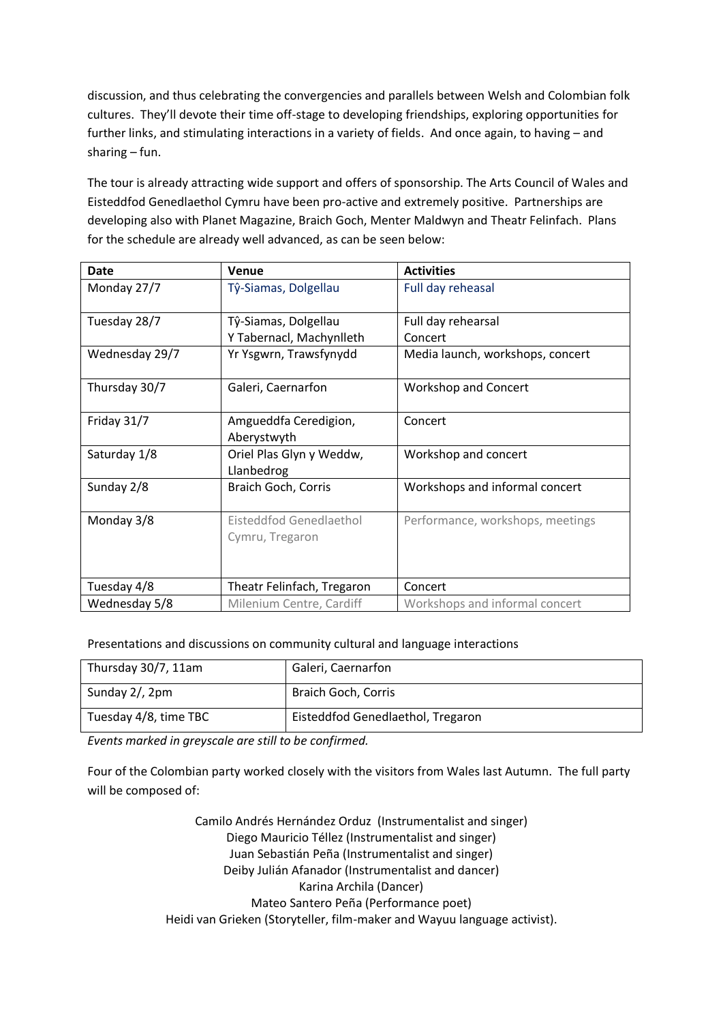discussion, and thus celebrating the convergencies and parallels between Welsh and Colombian folk cultures. They'll devote their time off-stage to developing friendships, exploring opportunities for further links, and stimulating interactions in a variety of fields. And once again, to having – and sharing – fun.

The tour is already attracting wide support and offers of sponsorship. The Arts Council of Wales and Eisteddfod Genedlaethol Cymru have been pro-active and extremely positive. Partnerships are developing also with Planet Magazine, Braich Goch, Menter Maldwyn and Theatr Felinfach. Plans for the schedule are already well advanced, as can be seen below:

| Date           | Venue                                  | <b>Activities</b>                |
|----------------|----------------------------------------|----------------------------------|
| Monday 27/7    | Tŷ-Siamas, Dolgellau                   | Full day reheasal                |
| Tuesday 28/7   | Tŷ-Siamas, Dolgellau                   | Full day rehearsal               |
|                | Y Tabernacl, Machynlleth               | Concert                          |
| Wednesday 29/7 | Yr Ysgwrn, Trawsfynydd                 | Media launch, workshops, concert |
| Thursday 30/7  | Galeri, Caernarfon                     | Workshop and Concert             |
| Friday 31/7    | Amgueddfa Ceredigion,<br>Aberystwyth   | Concert                          |
| Saturday 1/8   | Oriel Plas Glyn y Weddw,<br>Llanbedrog | Workshop and concert             |
| Sunday 2/8     | Braich Goch, Corris                    | Workshops and informal concert   |
| Monday 3/8     | Eisteddfod Genedlaethol                | Performance, workshops, meetings |
|                | Cymru, Tregaron                        |                                  |
| Tuesday 4/8    | Theatr Felinfach, Tregaron             | Concert                          |
| Wednesday 5/8  | Milenium Centre, Cardiff               | Workshops and informal concert   |

## Presentations and discussions on community cultural and language interactions

| Thursday 30/7, 11am   | Galeri, Caernarfon                |
|-----------------------|-----------------------------------|
| Sunday 2/, 2pm        | Braich Goch, Corris               |
| Tuesday 4/8, time TBC | Eisteddfod Genedlaethol, Tregaron |

*Events marked in greyscale are still to be confirmed.*

Four of the Colombian party worked closely with the visitors from Wales last Autumn. The full party will be composed of:

> Camilo Andrés Hernández Orduz (Instrumentalist and singer) Diego Mauricio Téllez (Instrumentalist and singer) Juan Sebastián Peña (Instrumentalist and singer) Deiby Julián Afanador (Instrumentalist and dancer) Karina Archila (Dancer) Mateo Santero Peña (Performance poet) Heidi van Grieken (Storyteller, film-maker and Wayuu language activist).